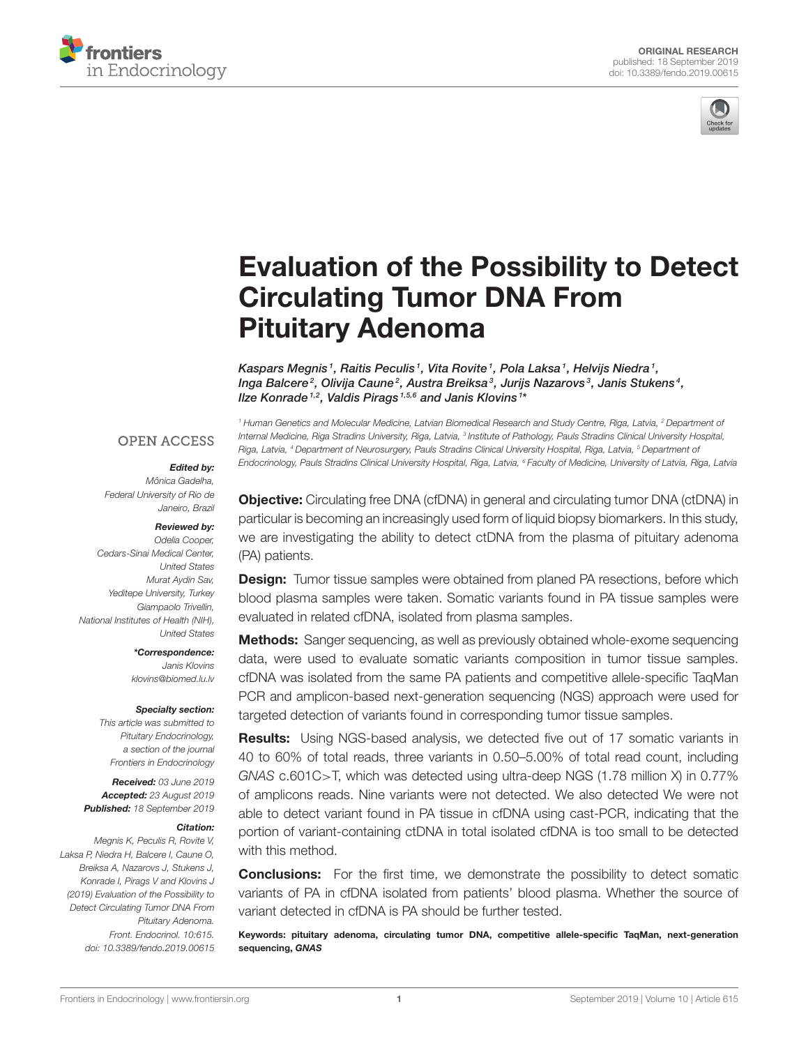



# [Evaluation of the Possibility to Detect](https://www.frontiersin.org/articles/10.3389/fendo.2019.00615/full) Circulating Tumor DNA From Pituitary Adenoma

[Kaspars Megnis](http://loop.frontiersin.org/people/748131/overview)1, Raitis Peculis1, [Vita Rovite](http://loop.frontiersin.org/people/779191/overview)1, Pola Laksa1, Helvijs Niedra1, Inga Balcere<sup>2</sup>, [Olivija Caune](http://loop.frontiersin.org/people/790744/overview)<sup>2</sup>, Austra Breiksa<sup>3</sup>, Jurijs Nazarovs<sup>3</sup>, Janis Stukens<sup>4</sup>, llze Konrade<sup>1,2</sup>, Valdis Pirags<sup>1,5,6</sup> and Janis Klovins<sup>1\*</sup>

#### **OPEN ACCESS**

#### Edited by:

Mônica Gadelha, Federal University of Rio de Janeiro, Brazil

#### Reviewed by:

Odelia Cooper, Cedars-Sinai Medical Center, United States Murat Aydin Sav, Yeditepe University, Turkey Giampaolo Trivellin, National Institutes of Health (NIH), United States

> \*Correspondence: Janis Klovins [klovins@biomed.lu.lv](mailto:klovins@biomed.lu.lv)

#### Specialty section:

This article was submitted to Pituitary Endocrinology, a section of the journal Frontiers in Endocrinology

Received: 03 June 2019 Accepted: 23 August 2019 Published: 18 September 2019

#### Citation:

Megnis K, Peculis R, Rovite V, Laksa P, Niedra H, Balcere I, Caune O, Breiksa A, Nazarovs J, Stukens J, Konrade I, Pirags V and Klovins J (2019) Evaluation of the Possibility to Detect Circulating Tumor DNA From Pituitary Adenoma. Front. Endocrinol. 10:615. doi: [10.3389/fendo.2019.00615](https://doi.org/10.3389/fendo.2019.00615)

<sup>1</sup> Human Genetics and Molecular Medicine, Latvian Biomedical Research and Study Centre, Riga, Latvia, <sup>2</sup> Department of Internal Medicine, Riga Stradins University, Riga, Latvia, <sup>3</sup> Institute of Pathology, Pauls Stradins Clinical University Hospital, Riga, Latvia, <sup>4</sup> Department of Neurosurgery, Pauls Stradins Clinical University Hospital, Riga, Latvia, <sup>5</sup> Department of Endocrinology, Pauls Stradins Clinical University Hospital, Riga, Latvia, <sup>6</sup> Faculty of Medicine, University of Latvia, Riga, Latvia

Objective: Circulating free DNA (cfDNA) in general and circulating tumor DNA (ctDNA) in particular is becoming an increasingly used form of liquid biopsy biomarkers. In this study, we are investigating the ability to detect ctDNA from the plasma of pituitary adenoma (PA) patients.

**Design:** Tumor tissue samples were obtained from planed PA resections, before which blood plasma samples were taken. Somatic variants found in PA tissue samples were evaluated in related cfDNA, isolated from plasma samples.

**Methods:** Sanger sequencing, as well as previously obtained whole-exome sequencing data, were used to evaluate somatic variants composition in tumor tissue samples. cfDNA was isolated from the same PA patients and competitive allele-specific TaqMan PCR and amplicon-based next-generation sequencing (NGS) approach were used for targeted detection of variants found in corresponding tumor tissue samples.

Results: Using NGS-based analysis, we detected five out of 17 somatic variants in 40 to 60% of total reads, three variants in 0.50–5.00% of total read count, including GNAS c.601C>T, which was detected using ultra-deep NGS (1.78 million X) in 0.77% of amplicons reads. Nine variants were not detected. We also detected We were not able to detect variant found in PA tissue in cfDNA using cast-PCR, indicating that the portion of variant-containing ctDNA in total isolated cfDNA is too small to be detected with this method.

**Conclusions:** For the first time, we demonstrate the possibility to detect somatic variants of PA in cfDNA isolated from patients' blood plasma. Whether the source of variant detected in cfDNA is PA should be further tested.

Keywords: pituitary adenoma, circulating tumor DNA, competitive allele-specific TaqMan, next-generation sequencing, GNAS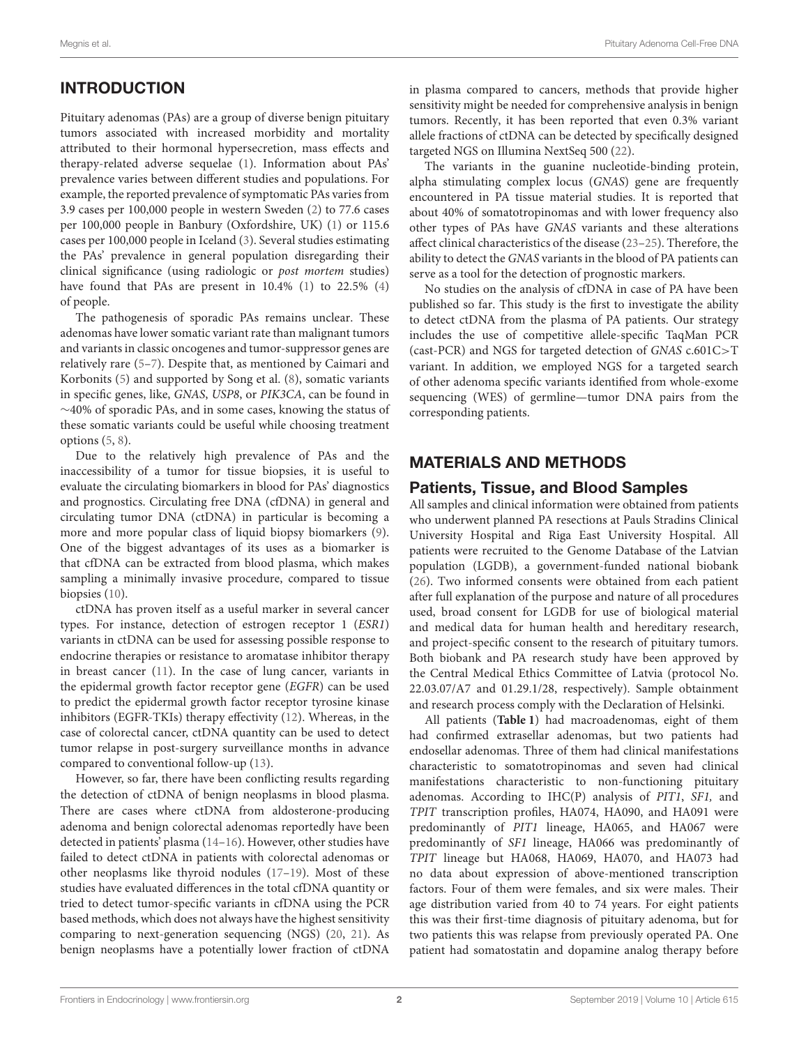# INTRODUCTION

Pituitary adenomas (PAs) are a group of diverse benign pituitary tumors associated with increased morbidity and mortality attributed to their hormonal hypersecretion, mass effects and therapy-related adverse sequelae [\(1\)](#page-6-0). Information about PAs' prevalence varies between different studies and populations. For example, the reported prevalence of symptomatic PAs varies from 3.9 cases per 100,000 people in western Sweden [\(2\)](#page-6-1) to 77.6 cases per 100,000 people in Banbury (Oxfordshire, UK) [\(1\)](#page-6-0) or 115.6 cases per 100,000 people in Iceland [\(3\)](#page-6-2). Several studies estimating the PAs' prevalence in general population disregarding their clinical significance (using radiologic or post mortem studies) have found that PAs are present in 10.4% [\(1\)](#page-6-0) to 22.5% [\(4\)](#page-6-3) of people.

The pathogenesis of sporadic PAs remains unclear. These adenomas have lower somatic variant rate than malignant tumors and variants in classic oncogenes and tumor-suppressor genes are relatively rare [\(5–](#page-6-4)[7\)](#page-6-5). Despite that, as mentioned by Caimari and Korbonits [\(5\)](#page-6-4) and supported by Song et al. [\(8\)](#page-6-6), somatic variants in specific genes, like, GNAS, USP8, or PIK3CA, can be found in ∼40% of sporadic PAs, and in some cases, knowing the status of these somatic variants could be useful while choosing treatment options [\(5,](#page-6-4) [8\)](#page-6-6).

Due to the relatively high prevalence of PAs and the inaccessibility of a tumor for tissue biopsies, it is useful to evaluate the circulating biomarkers in blood for PAs' diagnostics and prognostics. Circulating free DNA (cfDNA) in general and circulating tumor DNA (ctDNA) in particular is becoming a more and more popular class of liquid biopsy biomarkers [\(9\)](#page-6-7). One of the biggest advantages of its uses as a biomarker is that cfDNA can be extracted from blood plasma, which makes sampling a minimally invasive procedure, compared to tissue biopsies [\(10\)](#page-6-8).

ctDNA has proven itself as a useful marker in several cancer types. For instance, detection of estrogen receptor 1 (ESR1) variants in ctDNA can be used for assessing possible response to endocrine therapies or resistance to aromatase inhibitor therapy in breast cancer [\(11\)](#page-6-9). In the case of lung cancer, variants in the epidermal growth factor receptor gene (EGFR) can be used to predict the epidermal growth factor receptor tyrosine kinase inhibitors (EGFR-TKIs) therapy effectivity [\(12\)](#page-6-10). Whereas, in the case of colorectal cancer, ctDNA quantity can be used to detect tumor relapse in post-surgery surveillance months in advance compared to conventional follow-up [\(13\)](#page-6-11).

However, so far, there have been conflicting results regarding the detection of ctDNA of benign neoplasms in blood plasma. There are cases where ctDNA from aldosterone-producing adenoma and benign colorectal adenomas reportedly have been detected in patients' plasma [\(14–](#page-6-12)[16\)](#page-6-13). However, other studies have failed to detect ctDNA in patients with colorectal adenomas or other neoplasms like thyroid nodules [\(17](#page-6-14)[–19\)](#page-6-15). Most of these studies have evaluated differences in the total cfDNA quantity or tried to detect tumor-specific variants in cfDNA using the PCR based methods, which does not always have the highest sensitivity comparing to next-generation sequencing (NGS) [\(20,](#page-6-16) [21\)](#page-6-17). As benign neoplasms have a potentially lower fraction of ctDNA

in plasma compared to cancers, methods that provide higher sensitivity might be needed for comprehensive analysis in benign tumors. Recently, it has been reported that even 0.3% variant allele fractions of ctDNA can be detected by specifically designed targeted NGS on Illumina NextSeq 500 [\(22\)](#page-6-18).

The variants in the guanine nucleotide-binding protein, alpha stimulating complex locus (GNAS) gene are frequently encountered in PA tissue material studies. It is reported that about 40% of somatotropinomas and with lower frequency also other types of PAs have GNAS variants and these alterations affect clinical characteristics of the disease [\(23–](#page-6-19)[25\)](#page-6-20). Therefore, the ability to detect the GNAS variants in the blood of PA patients can serve as a tool for the detection of prognostic markers.

No studies on the analysis of cfDNA in case of PA have been published so far. This study is the first to investigate the ability to detect ctDNA from the plasma of PA patients. Our strategy includes the use of competitive allele-specific TaqMan PCR (cast-PCR) and NGS for targeted detection of GNAS c.601C>T variant. In addition, we employed NGS for a targeted search of other adenoma specific variants identified from whole-exome sequencing (WES) of germline—tumor DNA pairs from the corresponding patients.

# MATERIALS AND METHODS

### Patients, Tissue, and Blood Samples

All samples and clinical information were obtained from patients who underwent planned PA resections at Pauls Stradins Clinical University Hospital and Riga East University Hospital. All patients were recruited to the Genome Database of the Latvian population (LGDB), a government-funded national biobank [\(26\)](#page-7-0). Two informed consents were obtained from each patient after full explanation of the purpose and nature of all procedures used, broad consent for LGDB for use of biological material and medical data for human health and hereditary research, and project-specific consent to the research of pituitary tumors. Both biobank and PA research study have been approved by the Central Medical Ethics Committee of Latvia (protocol No. 22.03.07/A7 and 01.29.1/28, respectively). Sample obtainment and research process comply with the Declaration of Helsinki.

All patients (**[Table 1](#page-2-0)**) had macroadenomas, eight of them had confirmed extrasellar adenomas, but two patients had endosellar adenomas. Three of them had clinical manifestations characteristic to somatotropinomas and seven had clinical manifestations characteristic to non-functioning pituitary adenomas. According to IHC(P) analysis of PIT1, SF1, and TPIT transcription profiles, HA074, HA090, and HA091 were predominantly of PIT1 lineage, HA065, and HA067 were predominantly of SF1 lineage, HA066 was predominantly of TPIT lineage but HA068, HA069, HA070, and HA073 had no data about expression of above-mentioned transcription factors. Four of them were females, and six were males. Their age distribution varied from 40 to 74 years. For eight patients this was their first-time diagnosis of pituitary adenoma, but for two patients this was relapse from previously operated PA. One patient had somatostatin and dopamine analog therapy before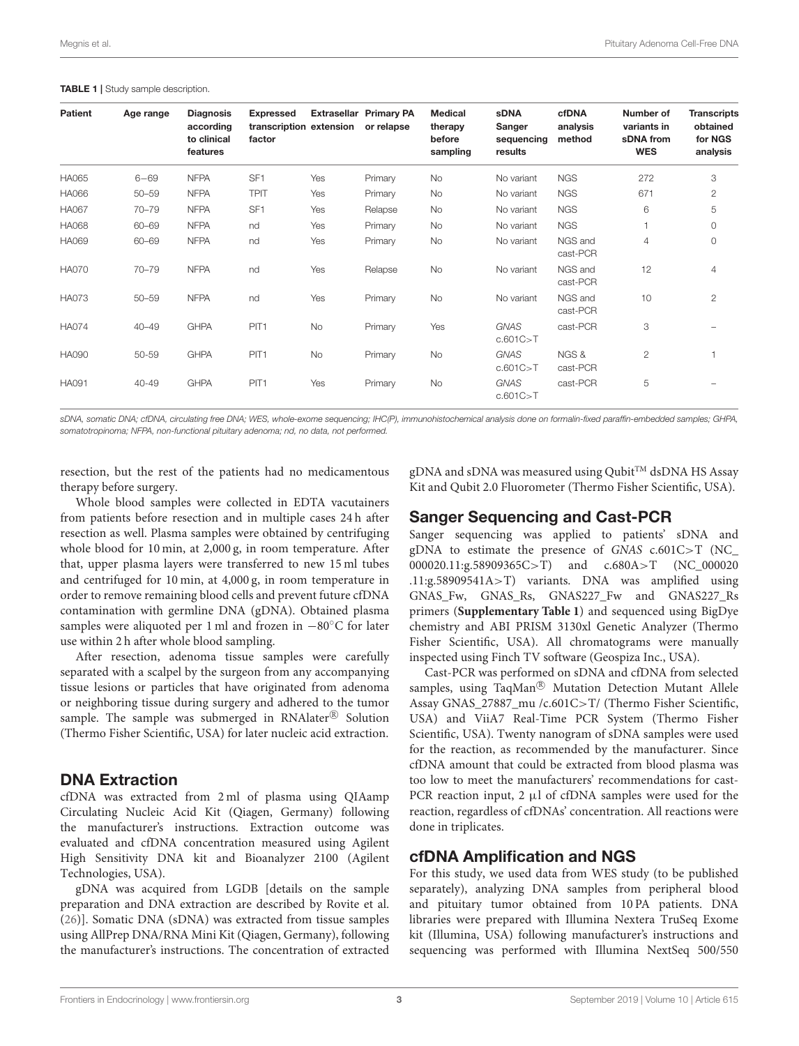| <b>Patient</b> | Age range | <b>Diagnosis</b><br>according<br>to clinical<br>features | <b>Expressed</b><br>transcription extension<br>factor |           | <b>Extrasellar Primary PA</b><br>or relapse | Medical<br>therapy<br>before<br>sampling | <b>sDNA</b><br>Sanger<br>sequencing<br>results | cfDNA<br>analysis<br>method | Number of<br>variants in<br>sDNA from<br><b>WES</b> | <b>Transcripts</b><br>obtained<br>for NGS<br>analysis |
|----------------|-----------|----------------------------------------------------------|-------------------------------------------------------|-----------|---------------------------------------------|------------------------------------------|------------------------------------------------|-----------------------------|-----------------------------------------------------|-------------------------------------------------------|
| <b>HA065</b>   | $6 - 69$  | <b>NFPA</b>                                              | SF <sub>1</sub>                                       | Yes       | Primary                                     | <b>No</b>                                | No variant                                     | <b>NGS</b>                  | 272                                                 | 3                                                     |
| HA066          | $50 - 59$ | <b>NFPA</b>                                              | <b>TPIT</b>                                           | Yes       | Primary                                     | <b>No</b>                                | No variant                                     | <b>NGS</b>                  | 671                                                 | $\mathbf{2}$                                          |
| <b>HA067</b>   | $70 - 79$ | <b>NFPA</b>                                              | SF <sub>1</sub>                                       | Yes       | Relapse                                     | <b>No</b>                                | No variant                                     | <b>NGS</b>                  | 6                                                   | 5                                                     |
| HA068          | 60-69     | <b>NFPA</b>                                              | nd                                                    | Yes       | Primary                                     | <b>No</b>                                | No variant                                     | <b>NGS</b>                  |                                                     | $\circ$                                               |
| HA069          | 60-69     | <b>NFPA</b>                                              | nd                                                    | Yes       | Primary                                     | <b>No</b>                                | No variant                                     | NGS and<br>cast-PCR         | 4                                                   | $\circ$                                               |
| <b>HA070</b>   | $70 - 79$ | <b>NFPA</b>                                              | nd                                                    | Yes       | Relapse                                     | <b>No</b>                                | No variant                                     | NGS and<br>cast-PCR         | 12                                                  | $\overline{4}$                                        |
| <b>HA073</b>   | $50 - 59$ | <b>NFPA</b>                                              | nd                                                    | Yes       | Primary                                     | <b>No</b>                                | No variant                                     | NGS and<br>cast-PCR         | 10                                                  | $\overline{2}$                                        |
| <b>HA074</b>   | $40 - 49$ | <b>GHPA</b>                                              | PIT <sub>1</sub>                                      | No        | Primary                                     | Yes                                      | <b>GNAS</b><br>c.601C > T                      | cast-PCR                    | 3                                                   |                                                       |
| <b>HA090</b>   | 50-59     | <b>GHPA</b>                                              | PIT <sub>1</sub>                                      | <b>No</b> | Primary                                     | <b>No</b>                                | <b>GNAS</b><br>c.601C > T                      | NGS &<br>cast-PCR           | $\overline{c}$                                      |                                                       |
| <b>HA091</b>   | 40-49     | <b>GHPA</b>                                              | PIT <sub>1</sub>                                      | Yes       | Primary                                     | <b>No</b>                                | <b>GNAS</b><br>c.601C > T                      | cast-PCR                    | 5                                                   |                                                       |

#### <span id="page-2-0"></span>TABLE 1 | Study sample description.

sDNA, somatic DNA; cfDNA, circulating free DNA; WES, whole-exome sequencing; IHC(P), immunohistochemical analysis done on formalin-fixed paraffin-embedded samples; GHPA, somatotropinoma; NFPA, non-functional pituitary adenoma; nd, no data, not performed.

resection, but the rest of the patients had no medicamentous therapy before surgery.

Whole blood samples were collected in EDTA vacutainers from patients before resection and in multiple cases 24 h after resection as well. Plasma samples were obtained by centrifuging whole blood for 10 min, at 2,000 g, in room temperature. After that, upper plasma layers were transferred to new 15 ml tubes and centrifuged for 10 min, at 4,000 g, in room temperature in order to remove remaining blood cells and prevent future cfDNA contamination with germline DNA (gDNA). Obtained plasma samples were aliquoted per 1 ml and frozen in −80◦C for later use within 2 h after whole blood sampling.

After resection, adenoma tissue samples were carefully separated with a scalpel by the surgeon from any accompanying tissue lesions or particles that have originated from adenoma or neighboring tissue during surgery and adhered to the tumor sample. The sample was submerged in RNAlater® Solution (Thermo Fisher Scientific, USA) for later nucleic acid extraction.

#### DNA Extraction

cfDNA was extracted from 2 ml of plasma using QIAamp Circulating Nucleic Acid Kit (Qiagen, Germany) following the manufacturer's instructions. Extraction outcome was evaluated and cfDNA concentration measured using Agilent High Sensitivity DNA kit and Bioanalyzer 2100 (Agilent Technologies, USA).

gDNA was acquired from LGDB [details on the sample preparation and DNA extraction are described by Rovite et al. [\(26\)](#page-7-0)]. Somatic DNA (sDNA) was extracted from tissue samples using AllPrep DNA/RNA Mini Kit (Qiagen, Germany), following the manufacturer's instructions. The concentration of extracted gDNA and sDNA was measured using Qubit<sup>TM</sup> dsDNA HS Assay Kit and Qubit 2.0 Fluorometer (Thermo Fisher Scientific, USA).

### Sanger Sequencing and Cast-PCR

Sanger sequencing was applied to patients' sDNA and gDNA to estimate the presence of GNAS c.601C>T (NC\_ 000020.11:g.58909365C>T) and c.680A>T (NC\_000020 .11:g.58909541A>T) variants. DNA was amplified using GNAS\_Fw, GNAS\_Rs, GNAS227\_Fw and GNAS227\_Rs primers (**[Supplementary Table 1](#page-6-21)**) and sequenced using BigDye chemistry and ABI PRISM 3130xl Genetic Analyzer (Thermo Fisher Scientific, USA). All chromatograms were manually inspected using Finch TV software (Geospiza Inc., USA).

Cast-PCR was performed on sDNA and cfDNA from selected samples, using TaqMan® Mutation Detection Mutant Allele Assay GNAS\_27887\_mu /c.601C>T/ (Thermo Fisher Scientific, USA) and ViiA7 Real-Time PCR System (Thermo Fisher Scientific, USA). Twenty nanogram of sDNA samples were used for the reaction, as recommended by the manufacturer. Since cfDNA amount that could be extracted from blood plasma was too low to meet the manufacturers' recommendations for cast-PCR reaction input,  $2 \mu$ l of cfDNA samples were used for the reaction, regardless of cfDNAs' concentration. All reactions were done in triplicates.

### cfDNA Amplification and NGS

For this study, we used data from WES study (to be published separately), analyzing DNA samples from peripheral blood and pituitary tumor obtained from 10 PA patients. DNA libraries were prepared with Illumina Nextera TruSeq Exome kit (Illumina, USA) following manufacturer's instructions and sequencing was performed with Illumina NextSeq 500/550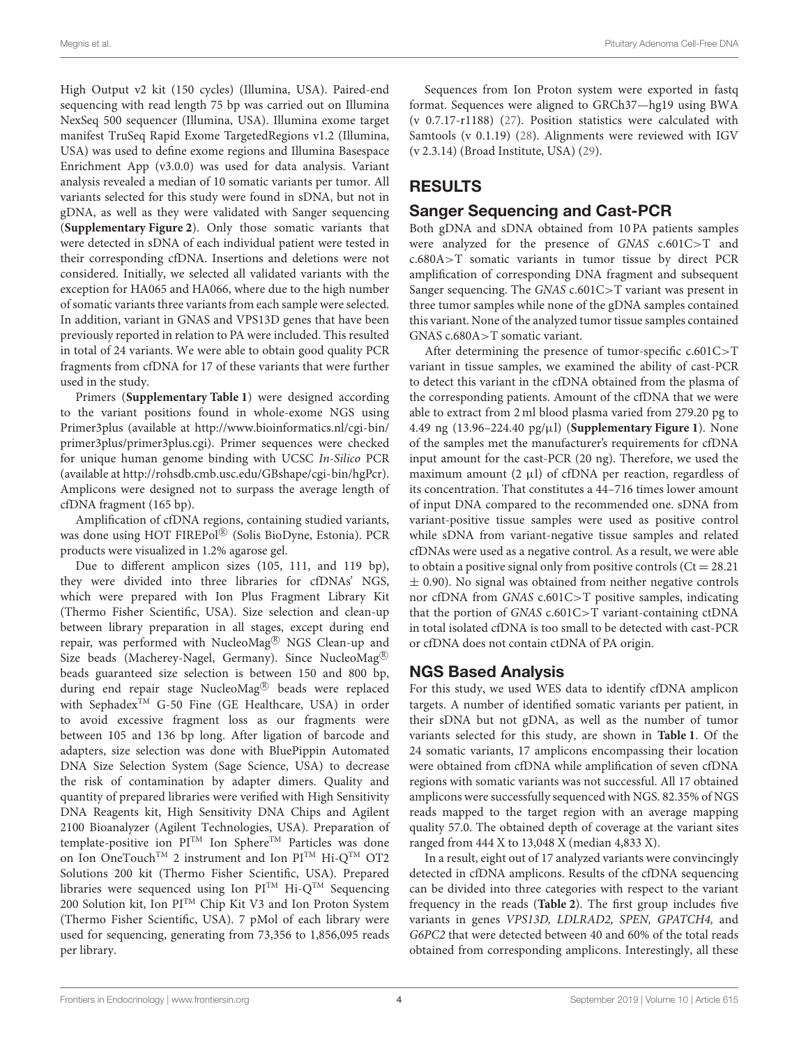High Output v2 kit (150 cycles) (Illumina, USA). Paired-end sequencing with read length 75 bp was carried out on Illumina NexSeq 500 sequencer (Illumina, USA). Illumina exome target manifest TruSeq Rapid Exome TargetedRegions v1.2 (Illumina, USA) was used to define exome regions and Illumina Basespace Enrichment App (v3.0.0) was used for data analysis. Variant analysis revealed a median of 10 somatic variants per tumor. All variants selected for this study were found in sDNA, but not in gDNA, as well as they were validated with Sanger sequencing (**[Supplementary Figure 2](#page-6-22)**). Only those somatic variants that were detected in sDNA of each individual patient were tested in their corresponding cfDNA. Insertions and deletions were not considered. Initially, we selected all validated variants with the exception for HA065 and HA066, where due to the high number of somatic variants three variants from each sample were selected. In addition, variant in GNAS and VPS13D genes that have been previously reported in relation to PA were included. This resulted in total of 24 variants. We were able to obtain good quality PCR fragments from cfDNA for 17 of these variants that were further used in the study.

Primers (**[Supplementary Table 1](#page-6-21)**) were designed according to the variant positions found in whole-exome NGS using Primer3plus (available at [http://www.bioinformatics.nl/cgi-bin/](http://www.bioinformatics.nl/cgi-bin/primer3plus/primer3plus.cgi) [primer3plus/primer3plus.cgi\)](http://www.bioinformatics.nl/cgi-bin/primer3plus/primer3plus.cgi). Primer sequences were checked for unique human genome binding with UCSC In-Silico PCR (available at [http://rohsdb.cmb.usc.edu/GBshape/cgi-bin/hgPcr\)](http://rohsdb.cmb.usc.edu/GBshape/cgi-bin/hgPcr). Amplicons were designed not to surpass the average length of cfDNA fragment (165 bp).

Amplification of cfDNA regions, containing studied variants, was done using HOT FIREPol® (Solis BioDyne, Estonia). PCR products were visualized in 1.2% agarose gel.

Due to different amplicon sizes (105, 111, and 119 bp), they were divided into three libraries for cfDNAs' NGS, which were prepared with Ion Plus Fragment Library Kit (Thermo Fisher Scientific, USA). Size selection and clean-up between library preparation in all stages, except during end repair, was performed with NucleoMag<sup>®</sup> NGS Clean-up and Size beads (Macherey-Nagel, Germany). Since NucleoMag<sup>®</sup> beads guaranteed size selection is between 150 and 800 bp, during end repair stage NucleoMag<sup>®</sup> beads were replaced with SephadexTM G-50 Fine (GE Healthcare, USA) in order to avoid excessive fragment loss as our fragments were between 105 and 136 bp long. After ligation of barcode and adapters, size selection was done with BluePippin Automated DNA Size Selection System (Sage Science, USA) to decrease the risk of contamination by adapter dimers. Quality and quantity of prepared libraries were verified with High Sensitivity DNA Reagents kit, High Sensitivity DNA Chips and Agilent 2100 Bioanalyzer (Agilent Technologies, USA). Preparation of template-positive ion PITM Ion Sphere<sup>TM</sup> Particles was done on Ion OneTouch<sup>TM</sup> 2 instrument and Ion  $PI^{TM}$  Hi-Q<sup>TM</sup> OT2 Solutions 200 kit (Thermo Fisher Scientific, USA). Prepared libraries were sequenced using Ion  $PI^{TM}$  Hi- $Q^{TM}$  Sequencing 200 Solution kit, Ion PITM Chip Kit V3 and Ion Proton System (Thermo Fisher Scientific, USA). 7 pMol of each library were used for sequencing, generating from 73,356 to 1,856,095 reads per library.

Sequences from Ion Proton system were exported in fastq format. Sequences were aligned to GRCh37—hg19 using BWA (v 0.7.17-r1188) [\(27\)](#page-7-1). Position statistics were calculated with Samtools (v 0.1.19) [\(28\)](#page-7-2). Alignments were reviewed with IGV (v 2.3.14) (Broad Institute, USA) [\(29\)](#page-7-3).

# RESULTS

## Sanger Sequencing and Cast-PCR

Both gDNA and sDNA obtained from 10 PA patients samples were analyzed for the presence of GNAS c.601C>T and c.680A>T somatic variants in tumor tissue by direct PCR amplification of corresponding DNA fragment and subsequent Sanger sequencing. The GNAS c.601C>T variant was present in three tumor samples while none of the gDNA samples contained this variant. None of the analyzed tumor tissue samples contained GNAS c.680A>T somatic variant.

After determining the presence of tumor-specific c.601C>T variant in tissue samples, we examined the ability of cast-PCR to detect this variant in the cfDNA obtained from the plasma of the corresponding patients. Amount of the cfDNA that we were able to extract from 2 ml blood plasma varied from 279.20 pg to 4.49 ng (13.96–224.40 pg/µl) (**[Supplementary Figure 1](#page-6-23)**). None of the samples met the manufacturer's requirements for cfDNA input amount for the cast-PCR (20 ng). Therefore, we used the maximum amount  $(2 \mu l)$  of cfDNA per reaction, regardless of its concentration. That constitutes a 44–716 times lower amount of input DNA compared to the recommended one. sDNA from variant-positive tissue samples were used as positive control while sDNA from variant-negative tissue samples and related cfDNAs were used as a negative control. As a result, we were able to obtain a positive signal only from positive controls  $(Ct = 28.21)$  $\pm$  0.90). No signal was obtained from neither negative controls nor cfDNA from GNAS c.601C>T positive samples, indicating that the portion of GNAS c.601C>T variant-containing ctDNA in total isolated cfDNA is too small to be detected with cast-PCR or cfDNA does not contain ctDNA of PA origin.

### NGS Based Analysis

For this study, we used WES data to identify cfDNA amplicon targets. A number of identified somatic variants per patient, in their sDNA but not gDNA, as well as the number of tumor variants selected for this study, are shown in **[Table 1](#page-2-0)**. Of the 24 somatic variants, 17 amplicons encompassing their location were obtained from cfDNA while amplification of seven cfDNA regions with somatic variants was not successful. All 17 obtained amplicons were successfully sequenced with NGS. 82.35% of NGS reads mapped to the target region with an average mapping quality 57.0. The obtained depth of coverage at the variant sites ranged from 444 X to 13,048 X (median 4,833 X).

In a result, eight out of 17 analyzed variants were convincingly detected in cfDNA amplicons. Results of the cfDNA sequencing can be divided into three categories with respect to the variant frequency in the reads (**[Table 2](#page-4-0)**). The first group includes five variants in genes VPS13D, LDLRAD2, SPEN, GPATCH4, and G6PC2 that were detected between 40 and 60% of the total reads obtained from corresponding amplicons. Interestingly, all these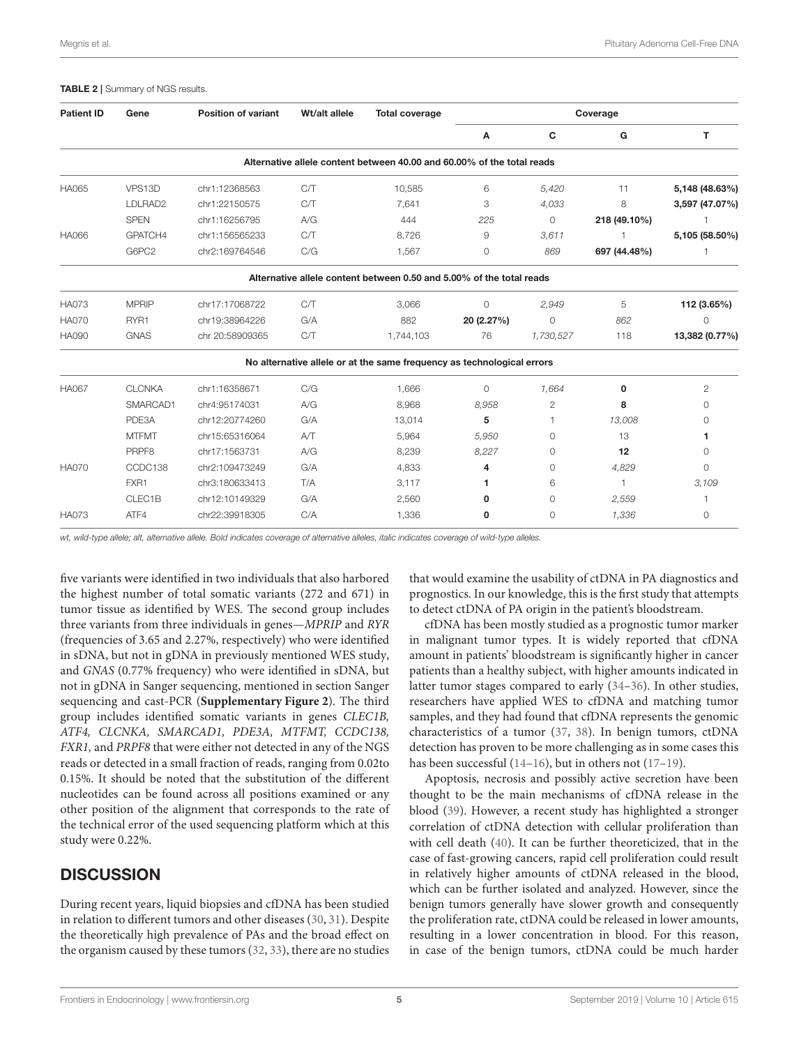#### <span id="page-4-0"></span>TABLE 2 | Summary of NGS results.

| <b>Patient ID</b> | Gene                    | <b>Position of variant</b> | Wt/alt allele | <b>Total coverage</b>                                                  | Coverage   |                |              |                |  |
|-------------------|-------------------------|----------------------------|---------------|------------------------------------------------------------------------|------------|----------------|--------------|----------------|--|
|                   |                         |                            |               |                                                                        | Α          | C              | G            | T.             |  |
|                   |                         |                            |               | Alternative allele content between 40.00 and 60.00% of the total reads |            |                |              |                |  |
| <b>HA065</b>      | VPS13D                  | chr1:12368563              | C/T           | 10,585                                                                 | 6          | 5,420          | 11           | 5,148 (48.63%) |  |
|                   | LDLRAD2                 | chr1:22150575              | C/T           | 7,641                                                                  | 3          | 4,033          | 8            | 3,597 (47.07%) |  |
|                   | <b>SPEN</b>             | chr1:16256795              | A/G           | 444                                                                    | 225        | 0              | 218 (49.10%) |                |  |
| <b>HA066</b>      | GPATCH4                 | chr1:156565233             |               | 8,726                                                                  | 9          | 3,611          |              | 5,105 (58.50%) |  |
|                   | G6PC2<br>chr2:169764546 |                            | C/G           | 1,567                                                                  | 0          | 869            | 697 (44.48%) |                |  |
|                   |                         |                            |               | Alternative allele content between 0.50 and 5.00% of the total reads   |            |                |              |                |  |
| <b>HA073</b>      | <b>MPRIP</b>            | chr17:17068722             | C/T           | 3,066                                                                  | $\circ$    | 2,949          | 5            | 112 (3.65%)    |  |
| <b>HA070</b>      | RYR1                    | chr19:38964226             | G/A           | 882                                                                    | 20 (2.27%) | $\circ$        | 862          | 0              |  |
| <b>HA090</b>      | <b>GNAS</b>             | chr 20:58909365            | C/T           | 1,744,103                                                              | 76         | 1,730,527      | 118          | 13,382 (0.77%) |  |
|                   |                         |                            |               | No alternative allele or at the same frequency as technological errors |            |                |              |                |  |
| <b>HA067</b>      | <b>CLCNKA</b>           | chr1:16358671              | C/G           | 1,666                                                                  | $\Omega$   | 1,664          | 0            | 2              |  |
|                   | SMARCAD1                | chr4:95174031              | A/G           | 8,968                                                                  | 8,958      | $\overline{c}$ | 8            | 0              |  |
|                   | PDE3A                   | chr12:20774260             | G/A           | 13,014                                                                 | 5          |                | 13,008       | 0              |  |
|                   | <b>MTFMT</b>            | chr15:65316064             | AT            | 5,964                                                                  | 5,950      | $\circ$        | 13           | 1              |  |
|                   | PRPF8                   | chr17:1563731              | A/G           | 8,239                                                                  | 8,227      | $\circ$        | 12           | 0              |  |
| <b>HA070</b>      | CCDC138                 | chr2:109473249             | G/A           | 4,833                                                                  | 4          | $\circ$        | 4,829        | $\Omega$       |  |
|                   | FXR1                    | chr3:180633413             | T/A           | 3,117                                                                  | 1          | 6              | $\mathbf{1}$ | 3,109          |  |
|                   | CLEC1B                  | chr12:10149329             | G/A           | 2,560                                                                  | 0          | $\circ$        | 2,559        |                |  |
| <b>HA073</b>      | ATF4                    | chr22:39918305             | C/A           | 1.336                                                                  | 0          | 0              | 1.336        | $\circ$        |  |

wt, wild-type allele; alt, alternative allele. Bold indicates coverage of alternative alleles, italic indicates coverage of wild-type alleles.

five variants were identified in two individuals that also harbored the highest number of total somatic variants (272 and 671) in tumor tissue as identified by WES. The second group includes three variants from three individuals in genes—MPRIP and RYR (frequencies of 3.65 and 2.27%, respectively) who were identified in sDNA, but not in gDNA in previously mentioned WES study, and GNAS (0.77% frequency) who were identified in sDNA, but not in gDNA in Sanger sequencing, mentioned in section Sanger sequencing and cast-PCR (**[Supplementary Figure 2](#page-6-22)**). The third group includes identified somatic variants in genes CLEC1B, ATF4, CLCNKA, SMARCAD1, PDE3A, MTFMT, CCDC138, FXR1, and PRPF8 that were either not detected in any of the NGS reads or detected in a small fraction of reads, ranging from 0.02to 0.15%. It should be noted that the substitution of the different nucleotides can be found across all positions examined or any other position of the alignment that corresponds to the rate of the technical error of the used sequencing platform which at this study were 0.22%.

# **DISCUSSION**

During recent years, liquid biopsies and cfDNA has been studied in relation to different tumors and other diseases [\(30,](#page-7-4) [31\)](#page-7-5). Despite the theoretically high prevalence of PAs and the broad effect on the organism caused by these tumors [\(32,](#page-7-6) [33\)](#page-7-7), there are no studies that would examine the usability of ctDNA in PA diagnostics and prognostics. In our knowledge, this is the first study that attempts to detect ctDNA of PA origin in the patient's bloodstream.

cfDNA has been mostly studied as a prognostic tumor marker in malignant tumor types. It is widely reported that cfDNA amount in patients' bloodstream is significantly higher in cancer patients than a healthy subject, with higher amounts indicated in latter tumor stages compared to early [\(34](#page-7-8)[–36\)](#page-7-9). In other studies, researchers have applied WES to cfDNA and matching tumor samples, and they had found that cfDNA represents the genomic characteristics of a tumor [\(37,](#page-7-10) [38\)](#page-7-11). In benign tumors, ctDNA detection has proven to be more challenging as in some cases this has been successful [\(14](#page-6-12)[–16\)](#page-6-13), but in others not [\(17–](#page-6-14)[19\)](#page-6-15).

Apoptosis, necrosis and possibly active secretion have been thought to be the main mechanisms of cfDNA release in the blood [\(39\)](#page-7-12). However, a recent study has highlighted a stronger correlation of ctDNA detection with cellular proliferation than with cell death [\(40\)](#page-7-13). It can be further theoreticized, that in the case of fast-growing cancers, rapid cell proliferation could result in relatively higher amounts of ctDNA released in the blood, which can be further isolated and analyzed. However, since the benign tumors generally have slower growth and consequently the proliferation rate, ctDNA could be released in lower amounts, resulting in a lower concentration in blood. For this reason, in case of the benign tumors, ctDNA could be much harder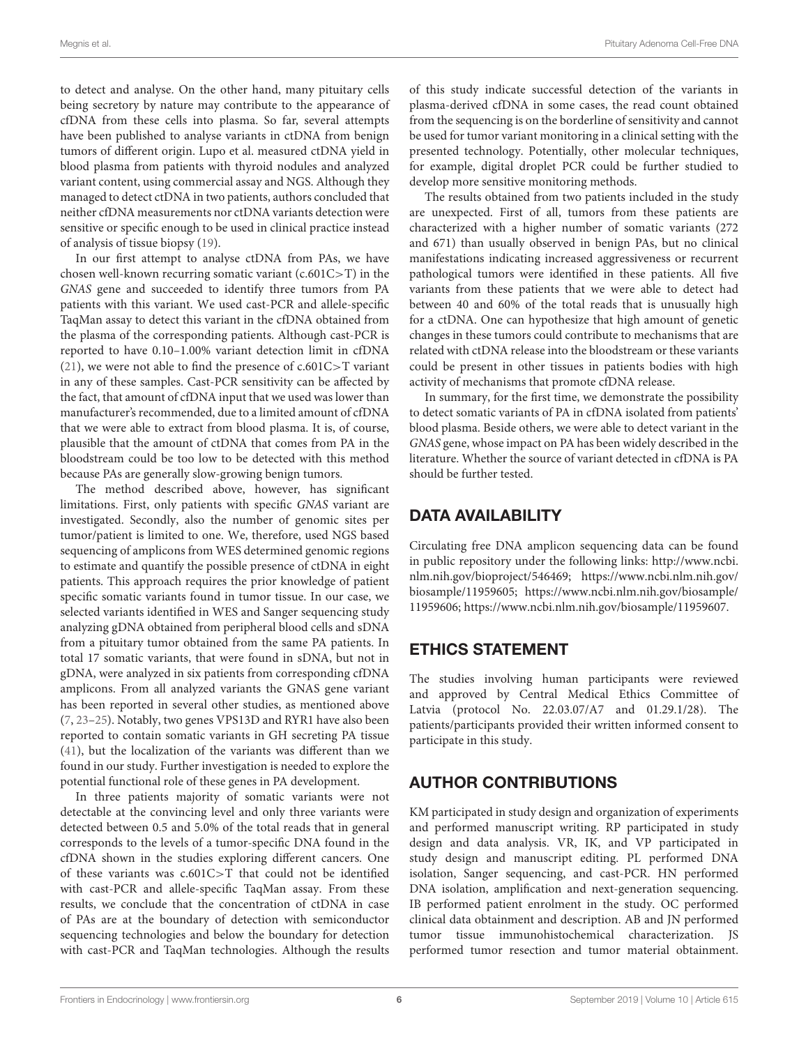to detect and analyse. On the other hand, many pituitary cells being secretory by nature may contribute to the appearance of cfDNA from these cells into plasma. So far, several attempts have been published to analyse variants in ctDNA from benign tumors of different origin. Lupo et al. measured ctDNA yield in blood plasma from patients with thyroid nodules and analyzed variant content, using commercial assay and NGS. Although they managed to detect ctDNA in two patients, authors concluded that neither cfDNA measurements nor ctDNA variants detection were sensitive or specific enough to be used in clinical practice instead of analysis of tissue biopsy [\(19\)](#page-6-15).

In our first attempt to analyse ctDNA from PAs, we have chosen well-known recurring somatic variant (c.601C>T) in the GNAS gene and succeeded to identify three tumors from PA patients with this variant. We used cast-PCR and allele-specific TaqMan assay to detect this variant in the cfDNA obtained from the plasma of the corresponding patients. Although cast-PCR is reported to have 0.10–1.00% variant detection limit in cfDNA [\(21\)](#page-6-17), we were not able to find the presence of c.601C>T variant in any of these samples. Cast-PCR sensitivity can be affected by the fact, that amount of cfDNA input that we used was lower than manufacturer's recommended, due to a limited amount of cfDNA that we were able to extract from blood plasma. It is, of course, plausible that the amount of ctDNA that comes from PA in the bloodstream could be too low to be detected with this method because PAs are generally slow-growing benign tumors.

The method described above, however, has significant limitations. First, only patients with specific GNAS variant are investigated. Secondly, also the number of genomic sites per tumor/patient is limited to one. We, therefore, used NGS based sequencing of amplicons from WES determined genomic regions to estimate and quantify the possible presence of ctDNA in eight patients. This approach requires the prior knowledge of patient specific somatic variants found in tumor tissue. In our case, we selected variants identified in WES and Sanger sequencing study analyzing gDNA obtained from peripheral blood cells and sDNA from a pituitary tumor obtained from the same PA patients. In total 17 somatic variants, that were found in sDNA, but not in gDNA, were analyzed in six patients from corresponding cfDNA amplicons. From all analyzed variants the GNAS gene variant has been reported in several other studies, as mentioned above [\(7,](#page-6-5) [23–](#page-6-19)[25\)](#page-6-20). Notably, two genes VPS13D and RYR1 have also been reported to contain somatic variants in GH secreting PA tissue [\(41\)](#page-7-14), but the localization of the variants was different than we found in our study. Further investigation is needed to explore the potential functional role of these genes in PA development.

In three patients majority of somatic variants were not detectable at the convincing level and only three variants were detected between 0.5 and 5.0% of the total reads that in general corresponds to the levels of a tumor-specific DNA found in the cfDNA shown in the studies exploring different cancers. One of these variants was c.601C>T that could not be identified with cast-PCR and allele-specific TaqMan assay. From these results, we conclude that the concentration of ctDNA in case of PAs are at the boundary of detection with semiconductor sequencing technologies and below the boundary for detection with cast-PCR and TaqMan technologies. Although the results of this study indicate successful detection of the variants in plasma-derived cfDNA in some cases, the read count obtained from the sequencing is on the borderline of sensitivity and cannot be used for tumor variant monitoring in a clinical setting with the presented technology. Potentially, other molecular techniques, for example, digital droplet PCR could be further studied to develop more sensitive monitoring methods.

The results obtained from two patients included in the study are unexpected. First of all, tumors from these patients are characterized with a higher number of somatic variants (272 and 671) than usually observed in benign PAs, but no clinical manifestations indicating increased aggressiveness or recurrent pathological tumors were identified in these patients. All five variants from these patients that we were able to detect had between 40 and 60% of the total reads that is unusually high for a ctDNA. One can hypothesize that high amount of genetic changes in these tumors could contribute to mechanisms that are related with ctDNA release into the bloodstream or these variants could be present in other tissues in patients bodies with high activity of mechanisms that promote cfDNA release.

In summary, for the first time, we demonstrate the possibility to detect somatic variants of PA in cfDNA isolated from patients' blood plasma. Beside others, we were able to detect variant in the GNAS gene, whose impact on PA has been widely described in the literature. Whether the source of variant detected in cfDNA is PA should be further tested.

# DATA AVAILABILITY

Circulating free DNA amplicon sequencing data can be found in public repository under the following links: [http://www.ncbi.](http://www.ncbi.nlm.nih.gov/bioproject/546469) [nlm.nih.gov/bioproject/546469;](http://www.ncbi.nlm.nih.gov/bioproject/546469) [https://www.ncbi.nlm.nih.gov/](https://www.ncbi.nlm.nih.gov/biosample/11959605) [biosample/11959605;](https://www.ncbi.nlm.nih.gov/biosample/11959605) [https://www.ncbi.nlm.nih.gov/biosample/](https://www.ncbi.nlm.nih.gov/biosample/11959606) [11959606;](https://www.ncbi.nlm.nih.gov/biosample/11959606) [https://www.ncbi.nlm.nih.gov/biosample/11959607.](https://www.ncbi.nlm.nih.gov/biosample/11959607)

# ETHICS STATEMENT

The studies involving human participants were reviewed and approved by Central Medical Ethics Committee of Latvia (protocol No. 22.03.07/A7 and 01.29.1/28). The patients/participants provided their written informed consent to participate in this study.

# AUTHOR CONTRIBUTIONS

KM participated in study design and organization of experiments and performed manuscript writing. RP participated in study design and data analysis. VR, IK, and VP participated in study design and manuscript editing. PL performed DNA isolation, Sanger sequencing, and cast-PCR. HN performed DNA isolation, amplification and next-generation sequencing. IB performed patient enrolment in the study. OC performed clinical data obtainment and description. AB and JN performed tumor tissue immunohistochemical characterization. JS performed tumor resection and tumor material obtainment.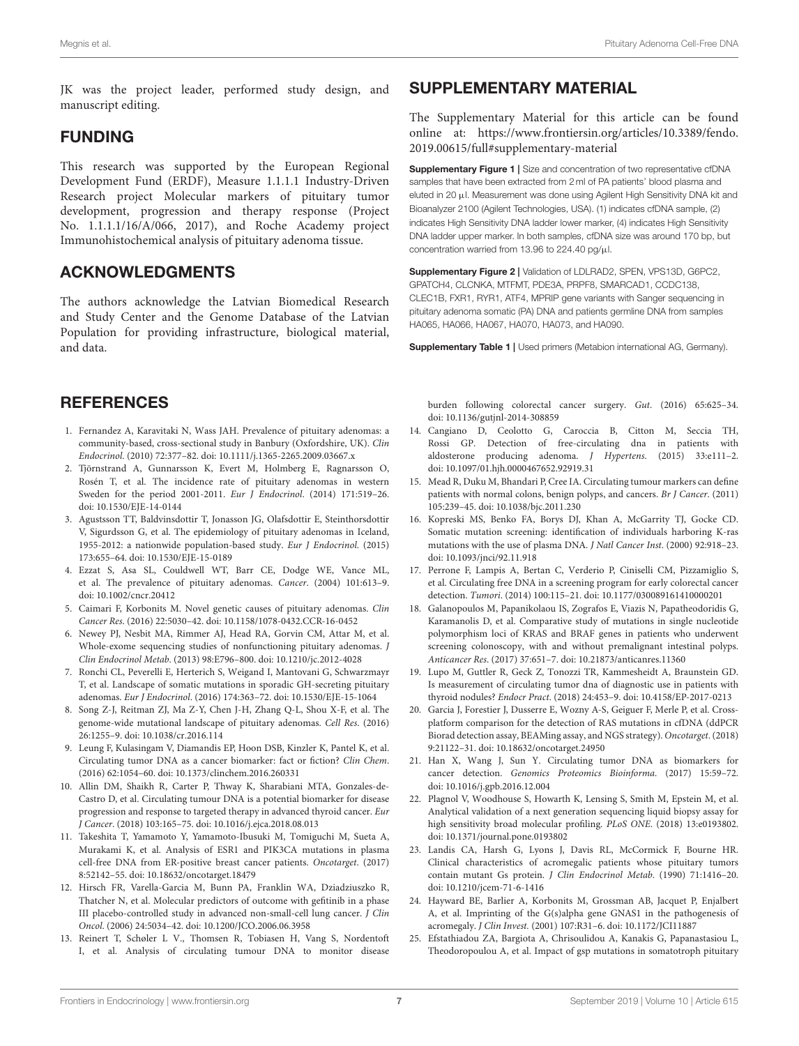JK was the project leader, performed study design, and manuscript editing.

### FUNDING

This research was supported by the European Regional Development Fund (ERDF), Measure 1.1.1.1 Industry-Driven Research project Molecular markers of pituitary tumor development, progression and therapy response (Project No. 1.1.1.1/16/A/066, 2017), and Roche Academy project Immunohistochemical analysis of pituitary adenoma tissue.

### ACKNOWLEDGMENTS

The authors acknowledge the Latvian Biomedical Research and Study Center and the Genome Database of the Latvian Population for providing infrastructure, biological material, and data.

### **REFERENCES**

- <span id="page-6-0"></span>1. Fernandez A, Karavitaki N, Wass JAH. Prevalence of pituitary adenomas: a community-based, cross-sectional study in Banbury (Oxfordshire, UK). Clin Endocrinol. (2010) 72:377–82. doi: [10.1111/j.1365-2265.2009.03667.x](https://doi.org/10.1111/j.1365-2265.2009.03667.x)
- <span id="page-6-1"></span>2. Tjörnstrand A, Gunnarsson K, Evert M, Holmberg E, Ragnarsson O, Rosén T, et al. The incidence rate of pituitary adenomas in western Sweden for the period 2001-2011. Eur J Endocrinol. (2014) 171:519–26. doi: [10.1530/EJE-14-0144](https://doi.org/10.1530/EJE-14-0144)
- <span id="page-6-2"></span>3. Agustsson TT, Baldvinsdottir T, Jonasson JG, Olafsdottir E, Steinthorsdottir V, Sigurdsson G, et al. The epidemiology of pituitary adenomas in Iceland, 1955-2012: a nationwide population-based study. Eur J Endocrinol. (2015) 173:655–64. doi: [10.1530/EJE-15-0189](https://doi.org/10.1530/EJE-15-0189)
- <span id="page-6-3"></span>4. Ezzat S, Asa SL, Couldwell WT, Barr CE, Dodge WE, Vance ML, et al. The prevalence of pituitary adenomas. Cancer. (2004) 101:613–9. doi: [10.1002/cncr.20412](https://doi.org/10.1002/cncr.20412)
- <span id="page-6-4"></span>5. Caimari F, Korbonits M. Novel genetic causes of pituitary adenomas. Clin Cancer Res. (2016) 22:5030–42. doi: [10.1158/1078-0432.CCR-16-0452](https://doi.org/10.1158/1078-0432.CCR-16-0452)
- 6. Newey PJ, Nesbit MA, Rimmer AJ, Head RA, Gorvin CM, Attar M, et al. Whole-exome sequencing studies of nonfunctioning pituitary adenomas. J Clin Endocrinol Metab. (2013) 98:E796–800. doi: [10.1210/jc.2012-4028](https://doi.org/10.1210/jc.2012-4028)
- <span id="page-6-5"></span>7. Ronchi CL, Peverelli E, Herterich S, Weigand I, Mantovani G, Schwarzmayr T, et al. Landscape of somatic mutations in sporadic GH-secreting pituitary adenomas. Eur J Endocrinol. (2016) 174:363–72. doi: [10.1530/EJE-15-1064](https://doi.org/10.1530/EJE-15-1064)
- <span id="page-6-6"></span>8. Song Z-J, Reitman ZJ, Ma Z-Y, Chen J-H, Zhang Q-L, Shou X-F, et al. The genome-wide mutational landscape of pituitary adenomas. Cell Res. (2016) 26:1255–9. doi: [10.1038/cr.2016.114](https://doi.org/10.1038/cr.2016.114)
- <span id="page-6-7"></span>9. Leung F, Kulasingam V, Diamandis EP, Hoon DSB, Kinzler K, Pantel K, et al. Circulating tumor DNA as a cancer biomarker: fact or fiction? Clin Chem. (2016) 62:1054–60. doi: [10.1373/clinchem.2016.260331](https://doi.org/10.1373/clinchem.2016.260331)
- <span id="page-6-8"></span>10. Allin DM, Shaikh R, Carter P, Thway K, Sharabiani MTA, Gonzales-de-Castro D, et al. Circulating tumour DNA is a potential biomarker for disease progression and response to targeted therapy in advanced thyroid cancer. Eur J Cancer. (2018) 103:165–75. doi: [10.1016/j.ejca.2018.08.013](https://doi.org/10.1016/j.ejca.2018.08.013)
- <span id="page-6-9"></span>11. Takeshita T, Yamamoto Y, Yamamoto-Ibusuki M, Tomiguchi M, Sueta A, Murakami K, et al. Analysis of ESR1 and PIK3CA mutations in plasma cell-free DNA from ER-positive breast cancer patients. Oncotarget. (2017) 8:52142–55. doi: [10.18632/oncotarget.18479](https://doi.org/10.18632/oncotarget.18479)
- <span id="page-6-10"></span>12. Hirsch FR, Varella-Garcia M, Bunn PA, Franklin WA, Dziadziuszko R, Thatcher N, et al. Molecular predictors of outcome with gefitinib in a phase III placebo-controlled study in advanced non-small-cell lung cancer. J Clin Oncol. (2006) 24:5034–42. doi: [10.1200/JCO.2006.06.3958](https://doi.org/10.1200/JCO.2006.06.3958)
- <span id="page-6-11"></span>13. Reinert T, Schøler L V., Thomsen R, Tobiasen H, Vang S, Nordentoft I, et al. Analysis of circulating tumour DNA to monitor disease

# SUPPLEMENTARY MATERIAL

The Supplementary Material for this article can be found [online at: https://www.frontiersin.org/articles/10.3389/fendo.](https://www.frontiersin.org/articles/10.3389/fendo.2019.00615/full#supplementary-material) 2019.00615/full#supplementary-material

<span id="page-6-23"></span>Supplementary Figure 1 | Size and concentration of two representative cfDNA samples that have been extracted from 2 ml of PA patients' blood plasma and eluted in 20 µl. Measurement was done using Agilent High Sensitivity DNA kit and Bioanalyzer 2100 (Agilent Technologies, USA). (1) indicates cfDNA sample, (2) indicates High Sensitivity DNA ladder lower marker, (4) indicates High Sensitivity DNA ladder upper marker. In both samples, cfDNA size was around 170 bp, but concentration warried from 13.96 to 224.40 pg/µl.

<span id="page-6-22"></span>Supplementary Figure 2 | Validation of LDLRAD2, SPEN, VPS13D, G6PC2, GPATCH4, CLCNKA, MTFMT, PDE3A, PRPF8, SMARCAD1, CCDC138, CLEC1B, FXR1, RYR1, ATF4, MPRIP gene variants with Sanger sequencing in pituitary adenoma somatic (PA) DNA and patients germline DNA from samples HA065, HA066, HA067, HA070, HA073, and HA090.

<span id="page-6-21"></span>Supplementary Table 1 | Used primers (Metabion international AG, Germany).

burden following colorectal cancer surgery. Gut. (2016) 65:625–34. doi: [10.1136/gutjnl-2014-308859](https://doi.org/10.1136/gutjnl-2014-308859)

- <span id="page-6-12"></span>14. Cangiano D, Ceolotto G, Caroccia B, Citton M, Seccia TH, Rossi GP. Detection of free-circulating dna in patients with aldosterone producing adenoma. J Hypertens. (2015) 33:e111–2. doi: [10.1097/01.hjh.0000467652.92919.31](https://doi.org/10.1097/01.hjh.0000467652.92919.31)
- 15. Mead R, Duku M, Bhandari P, Cree IA. Circulating tumour markers can define patients with normal colons, benign polyps, and cancers. Br J Cancer. (2011) 105:239–45. doi: [10.1038/bjc.2011.230](https://doi.org/10.1038/bjc.2011.230)
- <span id="page-6-13"></span>16. Kopreski MS, Benko FA, Borys DJ, Khan A, McGarrity TJ, Gocke CD. Somatic mutation screening: identification of individuals harboring K-ras mutations with the use of plasma DNA. J Natl Cancer Inst. (2000) 92:918–23. doi: [10.1093/jnci/92.11.918](https://doi.org/10.1093/jnci/92.11.918)
- <span id="page-6-14"></span>17. Perrone F, Lampis A, Bertan C, Verderio P, Ciniselli CM, Pizzamiglio S, et al. Circulating free DNA in a screening program for early colorectal cancer detection. Tumori. (2014) 100:115–21. doi: [10.1177/030089161410000201](https://doi.org/10.1177/030089161410000201)
- 18. Galanopoulos M, Papanikolaou IS, Zografos E, Viazis N, Papatheodoridis G, Karamanolis D, et al. Comparative study of mutations in single nucleotide polymorphism loci of KRAS and BRAF genes in patients who underwent screening colonoscopy, with and without premalignant intestinal polyps. Anticancer Res. (2017) 37:651–7. doi: [10.21873/anticanres.11360](https://doi.org/10.21873/anticanres.11360)
- <span id="page-6-15"></span>19. Lupo M, Guttler R, Geck Z, Tonozzi TR, Kammesheidt A, Braunstein GD. Is measurement of circulating tumor dna of diagnostic use in patients with thyroid nodules? Endocr Pract. (2018) 24:453–9. doi: [10.4158/EP-2017-0213](https://doi.org/10.4158/EP-2017-0213)
- <span id="page-6-16"></span>20. Garcia J, Forestier J, Dusserre E, Wozny A-S, Geiguer F, Merle P, et al. Crossplatform comparison for the detection of RAS mutations in cfDNA (ddPCR Biorad detection assay, BEAMing assay, and NGS strategy). Oncotarget. (2018) 9:21122–31. doi: [10.18632/oncotarget.24950](https://doi.org/10.18632/oncotarget.24950)
- <span id="page-6-17"></span>21. Han X, Wang J, Sun Y. Circulating tumor DNA as biomarkers for cancer detection. Genomics Proteomics Bioinforma. (2017) 15:59–72. doi: [10.1016/j.gpb.2016.12.004](https://doi.org/10.1016/j.gpb.2016.12.004)
- <span id="page-6-18"></span>22. Plagnol V, Woodhouse S, Howarth K, Lensing S, Smith M, Epstein M, et al. Analytical validation of a next generation sequencing liquid biopsy assay for high sensitivity broad molecular profiling. PLoS ONE. (2018) 13:e0193802. doi: [10.1371/journal.pone.0193802](https://doi.org/10.1371/journal.pone.0193802)
- <span id="page-6-19"></span>23. Landis CA, Harsh G, Lyons J, Davis RL, McCormick F, Bourne HR. Clinical characteristics of acromegalic patients whose pituitary tumors contain mutant Gs protein. J Clin Endocrinol Metab. (1990) 71:1416–20. doi: [10.1210/jcem-71-6-1416](https://doi.org/10.1210/jcem-71-6-1416)
- 24. Hayward BE, Barlier A, Korbonits M, Grossman AB, Jacquet P, Enjalbert A, et al. Imprinting of the G(s)alpha gene GNAS1 in the pathogenesis of acromegaly. J Clin Invest. (2001) 107:R31–6. doi: [10.1172/JCI11887](https://doi.org/10.1172/JCI11887)
- <span id="page-6-20"></span>25. Efstathiadou ZA, Bargiota A, Chrisoulidou A, Kanakis G, Papanastasiou L, Theodoropoulou A, et al. Impact of gsp mutations in somatotroph pituitary